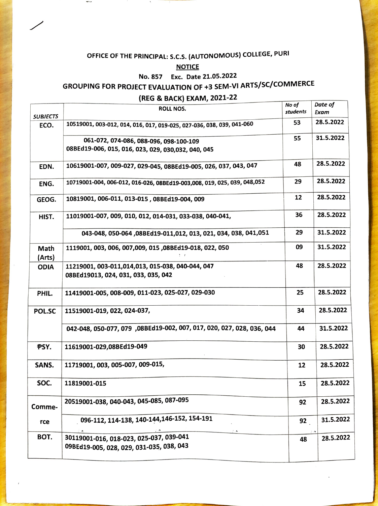# OFFICE OF THE PRINCIPAL: S.C.s. (AUTONOMOUS) cOLLEGE, PURI

**SPER** 

#### **NOTICE**

### No. 857 Exc. Date 21.05.2022

# GROUPING FOR PROJECT EVALUATION OF +3 SEM-VI ARTS/Sc/cOMMERCE

### (REG & BACK) EXAM, 2021-22

| <b>ROLL NOS.</b>                                                                             | students | Date of<br>Exam |
|----------------------------------------------------------------------------------------------|----------|-----------------|
| 10519001, 003-012, 014, 016, 017, 019-025, 027-036, 038, 039, 041-060                        | 53       | 28.5.2022       |
| 061-072, 074-086, 088-096, 098-100-109<br>08BEd19-006, 015, 016, 023, 029, 030,032, 040, 045 | 55       | 31.5.2022       |
| 10619001-007, 009-027, 029-045, 08BEd19-005, 026, 037, 043, 047                              | 48       | 28.5.2022       |
| 10719001-004, 006-012, 016-026, 08BEd19-003,008, 019, 025, 039, 048,052                      | 29       | 28.5.2022       |
| 10819001, 006-011, 013-015, 08BEd19-004, 009                                                 | 12       | 28.5.2022       |
| 11019001-007, 009, 010, 012, 014-031, 033-038, 040-041,                                      | 36       | 28.5.2022       |
| 043-048, 050-064, 08BEd19-011, 012, 013, 021, 034, 038, 041, 051                             | 29       | 31.5.2022       |
| 1119001, 003, 006, 007,009, 015,08BEd19-018, 022, 050                                        | 09       | 31.5.2022       |
| 11219001, 003-011,014,013, 015-038, 040-044, 047<br>08BEd19013, 024, 031, 033, 035, 042      | 48       | 28.5.2022       |
| 11419001-005, 008-009, 011-023, 025-027, 029-030                                             | 25       | 28.5.2022       |
| 11519001-019, 022, 024-037,                                                                  | 34       | 28.5.2022       |
| 042-048, 050-077, 079 ,08BEd19-002, 007, 017, 020, 027, 028, 036. 044                        | 44       | 31.5.2022       |
| 11619001-029,08BEd19-049                                                                     | 30       | 28.5.2022       |
| 11719001, 003, 005-007, 009-015,                                                             | 12       | 28.5.2022       |
| 11819001-015                                                                                 | 15       | 28.5.2022       |
| 20519001-038, 040-043, 045-085, 087-095                                                      | 92       | 28.5.2022       |
| 096-112, 114-138, 140-144, 146-152, 154-191                                                  | 92       | 31.5.2022       |
| 30119001-016, 018-023, 025-037, 039-041<br>09BEd19-005, 028, 029, 031-035, 038, 043          | 48       | 28.5.2022       |
|                                                                                              |          | No of           |